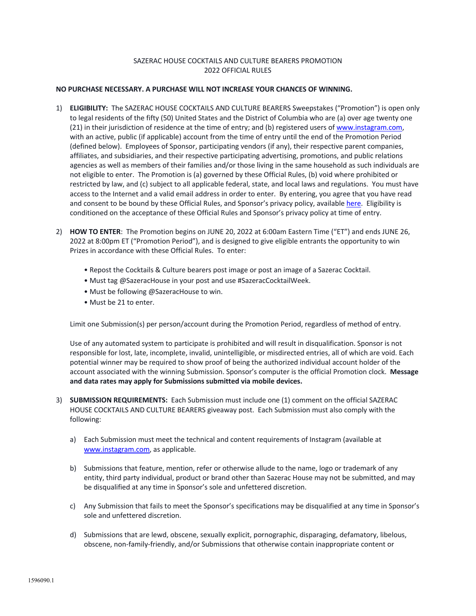## SAZERAC HOUSE COCKTAILS AND CULTURE BEARERS PROMOTION 2022 OFFICIAL RULES

## **NO PURCHASE NECESSARY. A PURCHASE WILL NOT INCREASE YOUR CHANCES OF WINNING.**

- 1) **ELIGIBILITY:** The SAZERAC HOUSE COCKTAILS AND CULTURE BEARERS Sweepstakes ("Promotion") is open only to legal residents of the fifty (50) United States and the District of Columbia who are (a) over age twenty one (21) in their jurisdiction of residence at the time of entry; and (b) registered users of www.instagram.com, with an active, public (if applicable) account from the time of entry until the end of the Promotion Period (defined below). Employees of Sponsor, participating vendors (if any), their respective parent companies, affiliates, and subsidiaries, and their respective participating advertising, promotions, and public relations agencies as well as members of their families and/or those living in the same household as such individuals are not eligible to enter. The Promotion is (a) governed by these Official Rules, (b) void where prohibited or restricted by law, and (c) subject to all applicable federal, state, and local laws and regulations. You must have access to the Internet and a valid email address in order to enter. By entering, you agree that you have read and consent to be bound by these Official Rules, and Sponsor's privacy policy, available here. Eligibility is conditioned on the acceptance of these Official Rules and Sponsor's privacy policy at time of entry.
- 2) **HOW TO ENTER**: The Promotion begins on JUNE 20, 2022 at 6:00am Eastern Time ("ET") and ends JUNE 26, 2022 at 8:00pm ET ("Promotion Period"), and is designed to give eligible entrants the opportunity to win Prizes in accordance with these Official Rules. To enter:
	- Repost the Cocktails & Culture bearers post image or post an image of a Sazerac Cocktail.
	- Must tag @SazeracHouse in your post and use #SazeracCocktailWeek.
	- Must be following @SazeracHouse to win.
	- Must be 21 to enter.

Limit one Submission(s) per person/account during the Promotion Period, regardless of method of entry.

Use of any automated system to participate is prohibited and will result in disqualification. Sponsor is not responsible for lost, late, incomplete, invalid, unintelligible, or misdirected entries, all of which are void. Each potential winner may be required to show proof of being the authorized individual account holder of the account associated with the winning Submission. Sponsor's computer is the official Promotion clock. **Message and data rates may apply for Submissions submitted via mobile devices.**

- 3) **SUBMISSION REQUIREMENTS:** Each Submission must include one (1) comment on the official SAZERAC HOUSE COCKTAILS AND CULTURE BEARERS giveaway post. Each Submission must also comply with the following:
	- a) Each Submission must meet the technical and content requirements of Instagram (available at www.instagram.com, as applicable.
	- b) Submissions that feature, mention, refer or otherwise allude to the name, logo or trademark of any entity, third party individual, product or brand other than Sazerac House may not be submitted, and may be disqualified at any time in Sponsor's sole and unfettered discretion.
	- c) Any Submission that fails to meet the Sponsor's specifications may be disqualified at any time in Sponsor's sole and unfettered discretion.
	- d) Submissions that are lewd, obscene, sexually explicit, pornographic, disparaging, defamatory, libelous, obscene, non-family-friendly, and/or Submissions that otherwise contain inappropriate content or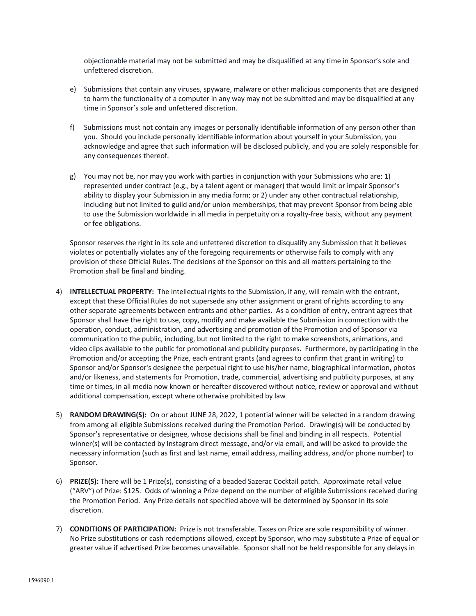objectionable material may not be submitted and may be disqualified at any time in Sponsor's sole and unfettered discretion.

- e) Submissions that contain any viruses, spyware, malware or other malicious components that are designed to harm the functionality of a computer in any way may not be submitted and may be disqualified at any time in Sponsor's sole and unfettered discretion.
- f) Submissions must not contain any images or personally identifiable information of any person other than you. Should you include personally identifiable information about yourself in your Submission, you acknowledge and agree that such information will be disclosed publicly, and you are solely responsible for any consequences thereof.
- g) You may not be, nor may you work with parties in conjunction with your Submissions who are: 1) represented under contract (e.g., by a talent agent or manager) that would limit or impair Sponsor's ability to display your Submission in any media form; or 2) under any other contractual relationship, including but not limited to guild and/or union memberships, that may prevent Sponsor from being able to use the Submission worldwide in all media in perpetuity on a royalty-free basis, without any payment or fee obligations.

Sponsor reserves the right in its sole and unfettered discretion to disqualify any Submission that it believes violates or potentially violates any of the foregoing requirements or otherwise fails to comply with any provision of these Official Rules. The decisions of the Sponsor on this and all matters pertaining to the Promotion shall be final and binding.

- 4) **INTELLECTUAL PROPERTY:** The intellectual rights to the Submission, if any, will remain with the entrant, except that these Official Rules do not supersede any other assignment or grant of rights according to any other separate agreements between entrants and other parties. As a condition of entry, entrant agrees that Sponsor shall have the right to use, copy, modify and make available the Submission in connection with the operation, conduct, administration, and advertising and promotion of the Promotion and of Sponsor via communication to the public, including, but not limited to the right to make screenshots, animations, and video clips available to the public for promotional and publicity purposes. Furthermore, by participating in the Promotion and/or accepting the Prize, each entrant grants (and agrees to confirm that grant in writing) to Sponsor and/or Sponsor's designee the perpetual right to use his/her name, biographical information, photos and/or likeness, and statements for Promotion, trade, commercial, advertising and publicity purposes, at any time or times, in all media now known or hereafter discovered without notice, review or approval and without additional compensation, except where otherwise prohibited by law
- 5) **RANDOM DRAWING(S):** On or about JUNE 28, 2022, 1 potential winner will be selected in a random drawing from among all eligible Submissions received during the Promotion Period. Drawing(s) will be conducted by Sponsor's representative or designee, whose decisions shall be final and binding in all respects. Potential winner(s) will be contacted by Instagram direct message, and/or via email, and will be asked to provide the necessary information (such as first and last name, email address, mailing address, and/or phone number) to Sponsor.
- 6) **PRIZE(S):** There will be 1 Prize(s), consisting of a beaded Sazerac Cocktail patch. Approximate retail value ("ARV") of Prize: \$125. Odds of winning a Prize depend on the number of eligible Submissions received during the Promotion Period. Any Prize details not specified above will be determined by Sponsor in its sole discretion.
- 7) **CONDITIONS OF PARTICIPATION:** Prize is not transferable. Taxes on Prize are sole responsibility of winner. No Prize substitutions or cash redemptions allowed, except by Sponsor, who may substitute a Prize of equal or greater value if advertised Prize becomes unavailable. Sponsor shall not be held responsible for any delays in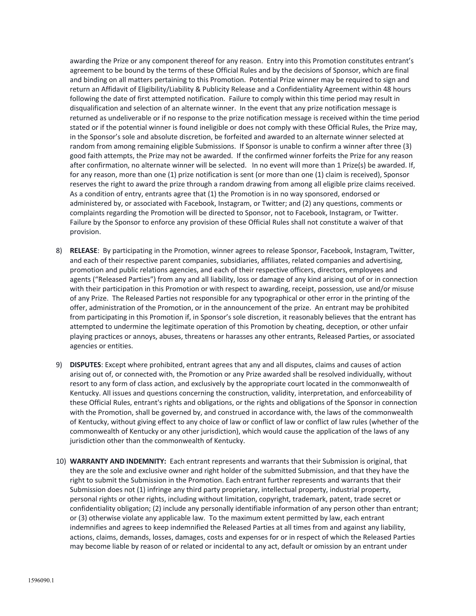awarding the Prize or any component thereof for any reason. Entry into this Promotion constitutes entrant's agreement to be bound by the terms of these Official Rules and by the decisions of Sponsor, which are final and binding on all matters pertaining to this Promotion. Potential Prize winner may be required to sign and return an Affidavit of Eligibility/Liability & Publicity Release and a Confidentiality Agreement within 48 hours following the date of first attempted notification. Failure to comply within this time period may result in disqualification and selection of an alternate winner. In the event that any prize notification message is returned as undeliverable or if no response to the prize notification message is received within the time period stated or if the potential winner is found ineligible or does not comply with these Official Rules, the Prize may, in the Sponsor's sole and absolute discretion, be forfeited and awarded to an alternate winner selected at random from among remaining eligible Submissions. If Sponsor is unable to confirm a winner after three (3) good faith attempts, the Prize may not be awarded. If the confirmed winner forfeits the Prize for any reason after confirmation, no alternate winner will be selected. In no event will more than 1 Prize(s) be awarded. If, for any reason, more than one (1) prize notification is sent (or more than one (1) claim is received), Sponsor reserves the right to award the prize through a random drawing from among all eligible prize claims received. As a condition of entry, entrants agree that (1) the Promotion is in no way sponsored, endorsed or administered by, or associated with Facebook, Instagram, or Twitter; and (2) any questions, comments or complaints regarding the Promotion will be directed to Sponsor, not to Facebook, Instagram, or Twitter. Failure by the Sponsor to enforce any provision of these Official Rules shall not constitute a waiver of that provision.

- 8) **RELEASE**: By participating in the Promotion, winner agrees to release Sponsor, Facebook, Instagram, Twitter, and each of their respective parent companies, subsidiaries, affiliates, related companies and advertising, promotion and public relations agencies, and each of their respective officers, directors, employees and agents ("Released Parties") from any and all liability, loss or damage of any kind arising out of or in connection with their participation in this Promotion or with respect to awarding, receipt, possession, use and/or misuse of any Prize. The Released Parties not responsible for any typographical or other error in the printing of the offer, administration of the Promotion, or in the announcement of the prize. An entrant may be prohibited from participating in this Promotion if, in Sponsor's sole discretion, it reasonably believes that the entrant has attempted to undermine the legitimate operation of this Promotion by cheating, deception, or other unfair playing practices or annoys, abuses, threatens or harasses any other entrants, Released Parties, or associated agencies or entities.
- 9) **DISPUTES**: Except where prohibited, entrant agrees that any and all disputes, claims and causes of action arising out of, or connected with, the Promotion or any Prize awarded shall be resolved individually, without resort to any form of class action, and exclusively by the appropriate court located in the commonwealth of Kentucky. All issues and questions concerning the construction, validity, interpretation, and enforceability of these Official Rules, entrant's rights and obligations, or the rights and obligations of the Sponsor in connection with the Promotion, shall be governed by, and construed in accordance with, the laws of the commonwealth of Kentucky, without giving effect to any choice of law or conflict of law or conflict of law rules (whether of the commonwealth of Kentucky or any other jurisdiction), which would cause the application of the laws of any jurisdiction other than the commonwealth of Kentucky.
- 10) **WARRANTY AND INDEMNITY:** Each entrant represents and warrants that their Submission is original, that they are the sole and exclusive owner and right holder of the submitted Submission, and that they have the right to submit the Submission in the Promotion. Each entrant further represents and warrants that their Submission does not (1) infringe any third party proprietary, intellectual property, industrial property, personal rights or other rights, including without limitation, copyright, trademark, patent, trade secret or confidentiality obligation; (2) include any personally identifiable information of any person other than entrant; or (3) otherwise violate any applicable law. To the maximum extent permitted by law, each entrant indemnifies and agrees to keep indemnified the Released Parties at all times from and against any liability, actions, claims, demands, losses, damages, costs and expenses for or in respect of which the Released Parties may become liable by reason of or related or incidental to any act, default or omission by an entrant under